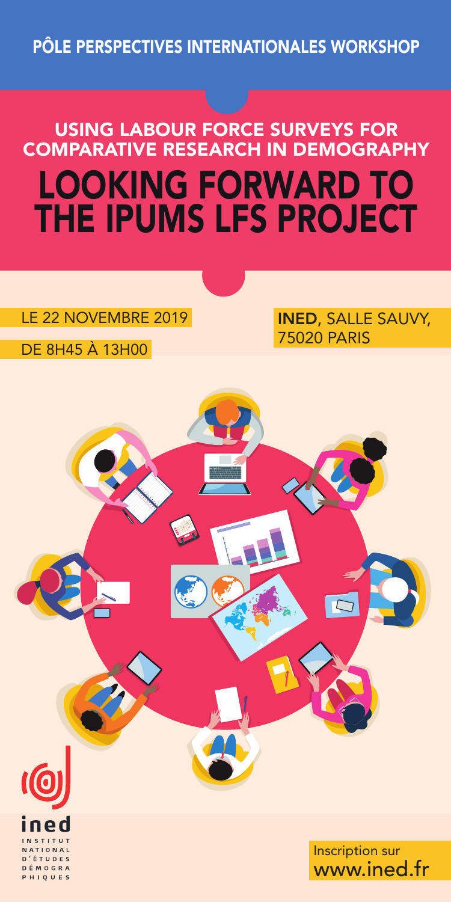PÔLE PERSPECTIVES INTERNATIONALES WORKSHOP

# USING LABOUR FORCE SURVEYS FOR COMPARATIVE RESEARCH IN DEMOGRAPHY LOOKING FORWARD TO THE IPUMS LFS PROJECT

### LE 22 NOVEMBRE 2019 **INED**, SALLE SAUVY,

DE 8H45 À 13H00

MOGRA  $1.0 \text{ U F}$  75020 PARIS

Inscription sur www.ined.fr